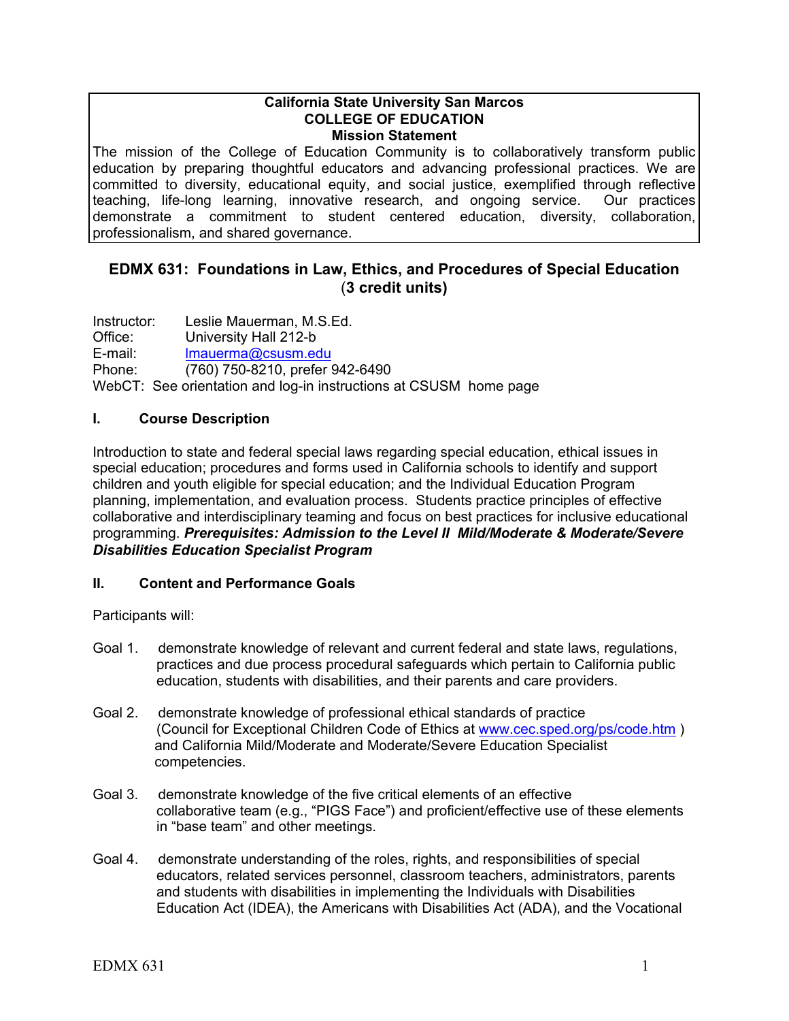#### **California State University San Marcos COLLEGE OF EDUCATION Mission Statement**

The mission of the College of Education Community is to collaboratively transform public education by preparing thoughtful educators and advancing professional practices. We are committed to diversity, educational equity, and social justice, exemplified through reflective teaching, life-long learning, innovative research, and ongoing service. Our practices demonstrate a commitment to student centered education, diversity, collaboration, professionalism, and shared governance.

## **EDMX 631: Foundations in Law, Ethics, and Procedures of Special Education** (**3 credit units)**

Instructor: Leslie Mauerman, M.S.Ed. Office: University Hall 212-b E-mail: lmauerma@csusm.edu Phone: (760) 750-8210, prefer 942-6490 WebCT: See orientation and log-in instructions at CSUSM home page

## **I. Course Description**

Introduction to state and federal special laws regarding special education, ethical issues in special education; procedures and forms used in California schools to identify and support children and youth eligible for special education; and the Individual Education Program planning, implementation, and evaluation process. Students practice principles of effective collaborative and interdisciplinary teaming and focus on best practices for inclusive educational programming. *Prerequisites: Admission to the Level II Mild/Moderate & Moderate/Severe Disabilities Education Specialist Program* 

## **II. Content and Performance Goals**

Participants will:

- Goal 1. demonstrate knowledge of relevant and current federal and state laws, regulations, practices and due process procedural safeguards which pertain to California public education, students with disabilities, and their parents and care providers.
- Goal 2. demonstrate knowledge of professional ethical standards of practice (Council for Exceptional Children Code of Ethics at www.cec.sped.org/ps/code.htm ) and California Mild/Moderate and Moderate/Severe Education Specialist competencies.
- Goal 3. demonstrate knowledge of the five critical elements of an effective collaborative team (e.g., "PIGS Face") and proficient/effective use of these elements in "base team" and other meetings.
- Goal 4. demonstrate understanding of the roles, rights, and responsibilities of special educators, related services personnel, classroom teachers, administrators, parents and students with disabilities in implementing the Individuals with Disabilities Education Act (IDEA), the Americans with Disabilities Act (ADA), and the Vocational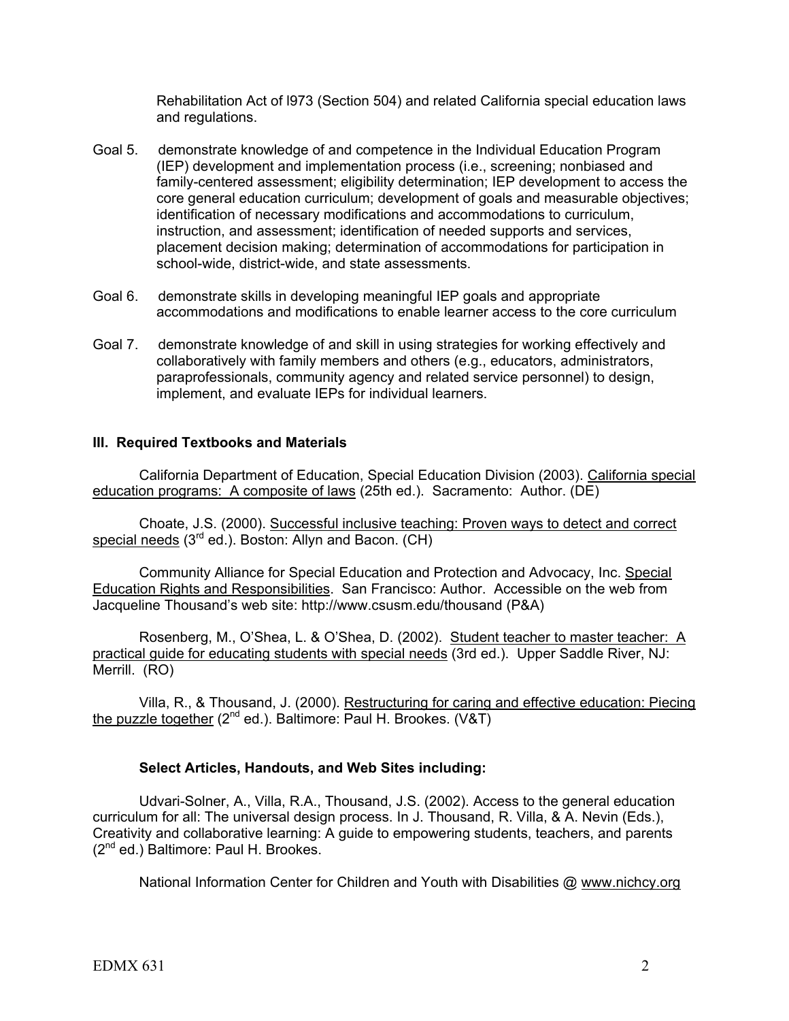Rehabilitation Act of l973 (Section 504) and related California special education laws and regulations.

- Goal 5. demonstrate knowledge of and competence in the Individual Education Program (IEP) development and implementation process (i.e., screening; nonbiased and family-centered assessment; eligibility determination; IEP development to access the core general education curriculum; development of goals and measurable objectives; identification of necessary modifications and accommodations to curriculum, instruction, and assessment; identification of needed supports and services, placement decision making; determination of accommodations for participation in school-wide, district-wide, and state assessments.
- Goal 6. demonstrate skills in developing meaningful IEP goals and appropriate accommodations and modifications to enable learner access to the core curriculum
- Goal 7. demonstrate knowledge of and skill in using strategies for working effectively and collaboratively with family members and others (e.g., educators, administrators, paraprofessionals, community agency and related service personnel) to design, implement, and evaluate IEPs for individual learners.

## **III. Required Textbooks and Materials**

California Department of Education, Special Education Division (2003). California special education programs: A composite of laws (25th ed.). Sacramento: Author. (DE)

Choate, J.S. (2000). Successful inclusive teaching: Proven ways to detect and correct special needs  $(3<sup>rd</sup>$  ed.). Boston: Allyn and Bacon.  $(CH)$ 

Community Alliance for Special Education and Protection and Advocacy, Inc. Special Education Rights and Responsibilities. San Francisco: Author. Accessible on the web from Jacqueline Thousand's web site: http://www.csusm.edu/thousand (P&A)

Rosenberg, M., O'Shea, L. & O'Shea, D. (2002). Student teacher to master teacher: A practical guide for educating students with special needs (3rd ed.). Upper Saddle River, NJ: Merrill. (RO)

Villa, R., & Thousand, J. (2000). Restructuring for caring and effective education: Piecing the puzzle together  $(2^{nd}$  ed.). Baltimore: Paul H. Brookes.  $(V & T)$ 

#### **Select Articles, Handouts, and Web Sites including:**

Udvari-Solner, A., Villa, R.A., Thousand, J.S. (2002). Access to the general education curriculum for all: The universal design process. In J. Thousand, R. Villa, & A. Nevin (Eds.), Creativity and collaborative learning: A guide to empowering students, teachers, and parents (2<sup>nd</sup> ed.) Baltimore: Paul H. Brookes.

National Information Center for Children and Youth with Disabilities @ www.nichcy.org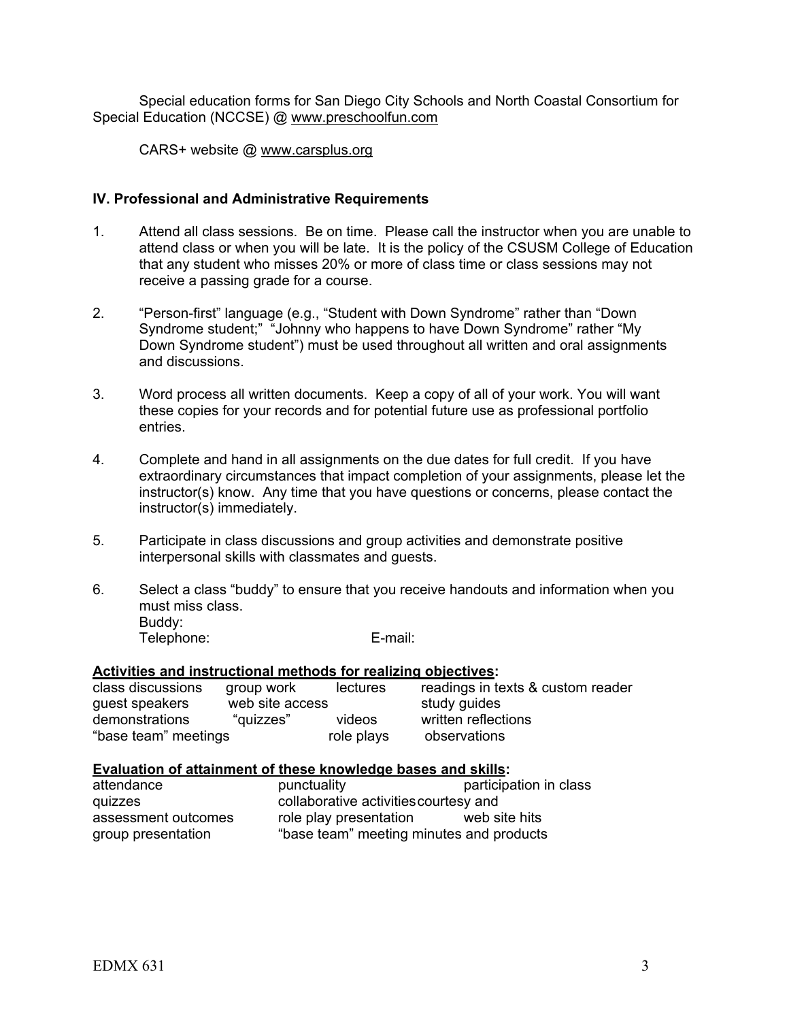Special education forms for San Diego City Schools and North Coastal Consortium for Special Education (NCCSE) @ www.preschoolfun.com

CARS+ website @ www.carsplus.org

## **IV. Professional and Administrative Requirements**

- 1. Attend all class sessions. Be on time. Please call the instructor when you are unable to attend class or when you will be late. It is the policy of the CSUSM College of Education that any student who misses 20% or more of class time or class sessions may not receive a passing grade for a course.
- 2. "Person-first" language (e.g., "Student with Down Syndrome" rather than "Down Syndrome student;" "Johnny who happens to have Down Syndrome" rather "My Down Syndrome student") must be used throughout all written and oral assignments and discussions.
- 3. Word process all written documents. Keep a copy of all of your work. You will want these copies for your records and for potential future use as professional portfolio entries.
- 4. Complete and hand in all assignments on the due dates for full credit. If you have extraordinary circumstances that impact completion of your assignments, please let the instructor(s) know. Any time that you have questions or concerns, please contact the instructor(s) immediately.
- 5. Participate in class discussions and group activities and demonstrate positive interpersonal skills with classmates and guests.
- 6. Select a class "buddy" to ensure that you receive handouts and information when you must miss class. Buddy: Telephone: E-mail:

## **Activities and instructional methods for realizing objectives:**

| class discussions    | group work      | lectures   | readings in texts & custom reader |
|----------------------|-----------------|------------|-----------------------------------|
| guest speakers       | web site access |            | study guides                      |
| demonstrations       | "auizzes"       | videos     | written reflections               |
| "base team" meetings |                 | role plays | observations                      |

## **Evaluation of attainment of these knowledge bases and skills:**

| attendance          | punctuality                              | participation in class |
|---------------------|------------------------------------------|------------------------|
| quizzes             | collaborative activities courtesy and    |                        |
| assessment outcomes | role play presentation                   | web site hits          |
| group presentation  | "base team" meeting minutes and products |                        |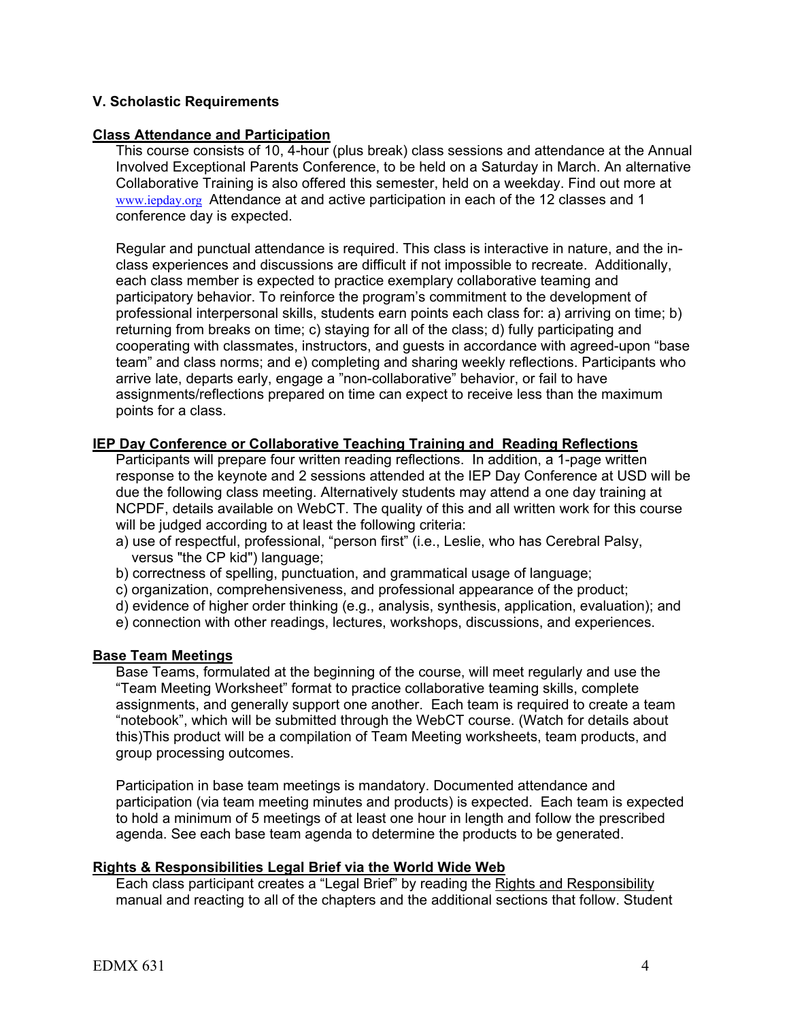## **V. Scholastic Requirements**

## **Class Attendance and Participation**

This course consists of 10, 4-hour (plus break) class sessions and attendance at the Annual Involved Exceptional Parents Conference, to be held on a Saturday in March. An alternative Collaborative Training is also offered this semester, held on a weekday. Find out more at www.iepday.org Attendance at and active participation in each of the 12 classes and 1 conference day is expected.

Regular and punctual attendance is required. This class is interactive in nature, and the inclass experiences and discussions are difficult if not impossible to recreate. Additionally, each class member is expected to practice exemplary collaborative teaming and participatory behavior. To reinforce the program's commitment to the development of professional interpersonal skills, students earn points each class for: a) arriving on time; b) returning from breaks on time; c) staying for all of the class; d) fully participating and cooperating with classmates, instructors, and guests in accordance with agreed-upon "base team" and class norms; and e) completing and sharing weekly reflections. Participants who arrive late, departs early, engage a "non-collaborative" behavior, or fail to have assignments/reflections prepared on time can expect to receive less than the maximum points for a class.

## **IEP Day Conference or Collaborative Teaching Training and Reading Reflections**

Participants will prepare four written reading reflections. In addition, a 1-page written response to the keynote and 2 sessions attended at the IEP Day Conference at USD will be due the following class meeting. Alternatively students may attend a one day training at NCPDF, details available on WebCT. The quality of this and all written work for this course will be judged according to at least the following criteria:

- a) use of respectful, professional, "person first" (i.e., Leslie, who has Cerebral Palsy, versus "the CP kid") language;
- b) correctness of spelling, punctuation, and grammatical usage of language;
- c) organization, comprehensiveness, and professional appearance of the product;
- d) evidence of higher order thinking (e.g., analysis, synthesis, application, evaluation); and
- e) connection with other readings, lectures, workshops, discussions, and experiences.

## **Base Team Meetings**

Base Teams, formulated at the beginning of the course, will meet regularly and use the "Team Meeting Worksheet" format to practice collaborative teaming skills, complete assignments, and generally support one another. Each team is required to create a team "notebook", which will be submitted through the WebCT course. (Watch for details about this)This product will be a compilation of Team Meeting worksheets, team products, and group processing outcomes.

Participation in base team meetings is mandatory. Documented attendance and participation (via team meeting minutes and products) is expected. Each team is expected to hold a minimum of 5 meetings of at least one hour in length and follow the prescribed agenda. See each base team agenda to determine the products to be generated.

## **Rights & Responsibilities Legal Brief via the World Wide Web**

Each class participant creates a "Legal Brief" by reading the Rights and Responsibility manual and reacting to all of the chapters and the additional sections that follow. Student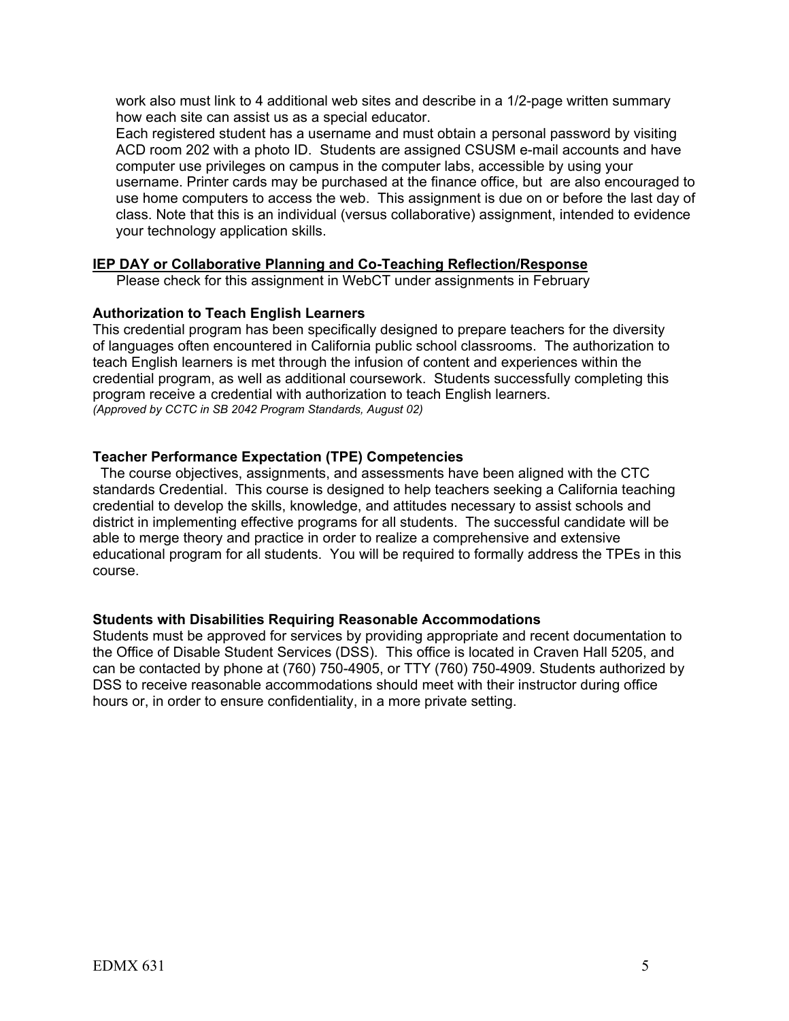work also must link to 4 additional web sites and describe in a 1/2-page written summary how each site can assist us as a special educator.

Each registered student has a username and must obtain a personal password by visiting ACD room 202 with a photo ID. Students are assigned CSUSM e-mail accounts and have computer use privileges on campus in the computer labs, accessible by using your username. Printer cards may be purchased at the finance office, but are also encouraged to use home computers to access the web. This assignment is due on or before the last day of class. Note that this is an individual (versus collaborative) assignment, intended to evidence your technology application skills.

## **IEP DAY or Collaborative Planning and Co-Teaching Reflection/Response**

Please check for this assignment in WebCT under assignments in February

#### **Authorization to Teach English Learners**

This credential program has been specifically designed to prepare teachers for the diversity of languages often encountered in California public school classrooms. The authorization to teach English learners is met through the infusion of content and experiences within the credential program, as well as additional coursework. Students successfully completing this program receive a credential with authorization to teach English learners. *(Approved by CCTC in SB 2042 Program Standards, August 02)*

#### **Teacher Performance Expectation (TPE) Competencies**

 The course objectives, assignments, and assessments have been aligned with the CTC standards Credential. This course is designed to help teachers seeking a California teaching credential to develop the skills, knowledge, and attitudes necessary to assist schools and district in implementing effective programs for all students. The successful candidate will be able to merge theory and practice in order to realize a comprehensive and extensive educational program for all students. You will be required to formally address the TPEs in this course.

#### **Students with Disabilities Requiring Reasonable Accommodations**

Students must be approved for services by providing appropriate and recent documentation to the Office of Disable Student Services (DSS). This office is located in Craven Hall 5205, and can be contacted by phone at (760) 750-4905, or TTY (760) 750-4909. Students authorized by DSS to receive reasonable accommodations should meet with their instructor during office hours or, in order to ensure confidentiality, in a more private setting.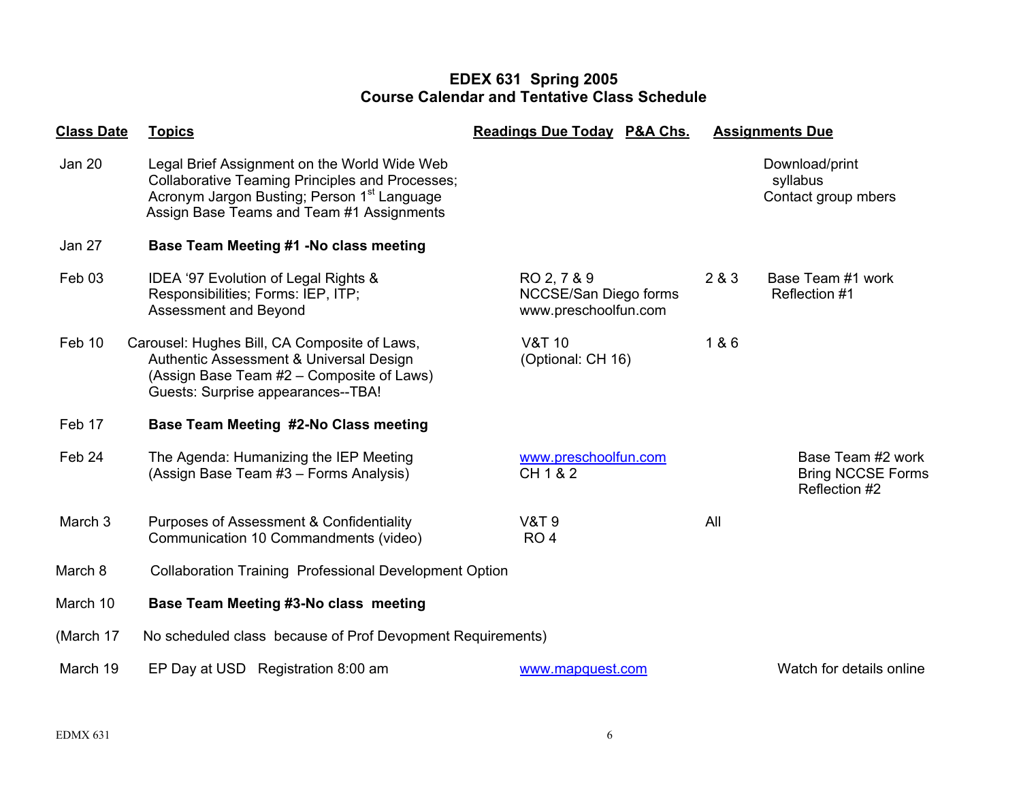## **EDEX 631 Spring 2005 Course Calendar and Tentative Class Schedule**

| <b>Class Date</b> | <b>Topics</b>                                                                                                                                                                                                  | <b>Readings Due Today P&amp;A Chs.</b>                       | <b>Assignments Due</b>                                         |
|-------------------|----------------------------------------------------------------------------------------------------------------------------------------------------------------------------------------------------------------|--------------------------------------------------------------|----------------------------------------------------------------|
| <b>Jan 20</b>     | Legal Brief Assignment on the World Wide Web<br><b>Collaborative Teaming Principles and Processes;</b><br>Acronym Jargon Busting; Person 1 <sup>st</sup> Language<br>Assign Base Teams and Team #1 Assignments |                                                              | Download/print<br>syllabus<br>Contact group mbers              |
| Jan 27            | Base Team Meeting #1 -No class meeting                                                                                                                                                                         |                                                              |                                                                |
| Feb <sub>03</sub> | IDEA '97 Evolution of Legal Rights &<br>Responsibilities; Forms: IEP, ITP;<br>Assessment and Beyond                                                                                                            | RO 2, 7 & 9<br>NCCSE/San Diego forms<br>www.preschoolfun.com | 2 & 3<br>Base Team #1 work<br>Reflection #1                    |
| Feb 10            | Carousel: Hughes Bill, CA Composite of Laws,<br>Authentic Assessment & Universal Design<br>(Assign Base Team #2 – Composite of Laws)<br>Guests: Surprise appearances--TBA!                                     | <b>V&amp;T 10</b><br>(Optional: CH 16)                       | 1 & 6                                                          |
| Feb 17            | Base Team Meeting #2-No Class meeting                                                                                                                                                                          |                                                              |                                                                |
| Feb 24            | The Agenda: Humanizing the IEP Meeting<br>(Assign Base Team #3 - Forms Analysis)                                                                                                                               | www.preschoolfun.com<br>CH 1 & 2                             | Base Team #2 work<br><b>Bring NCCSE Forms</b><br>Reflection #2 |
| March 3           | <b>Purposes of Assessment &amp; Confidentiality</b><br>Communication 10 Commandments (video)                                                                                                                   | <b>V&amp;T 9</b><br>RO <sub>4</sub>                          | All                                                            |
| March 8           | <b>Collaboration Training Professional Development Option</b>                                                                                                                                                  |                                                              |                                                                |
| March 10          | Base Team Meeting #3-No class meeting                                                                                                                                                                          |                                                              |                                                                |
| (March 17         | No scheduled class because of Prof Devopment Requirements)                                                                                                                                                     |                                                              |                                                                |
| March 19          | EP Day at USD Registration 8:00 am                                                                                                                                                                             | www.mapquest.com                                             | Watch for details online                                       |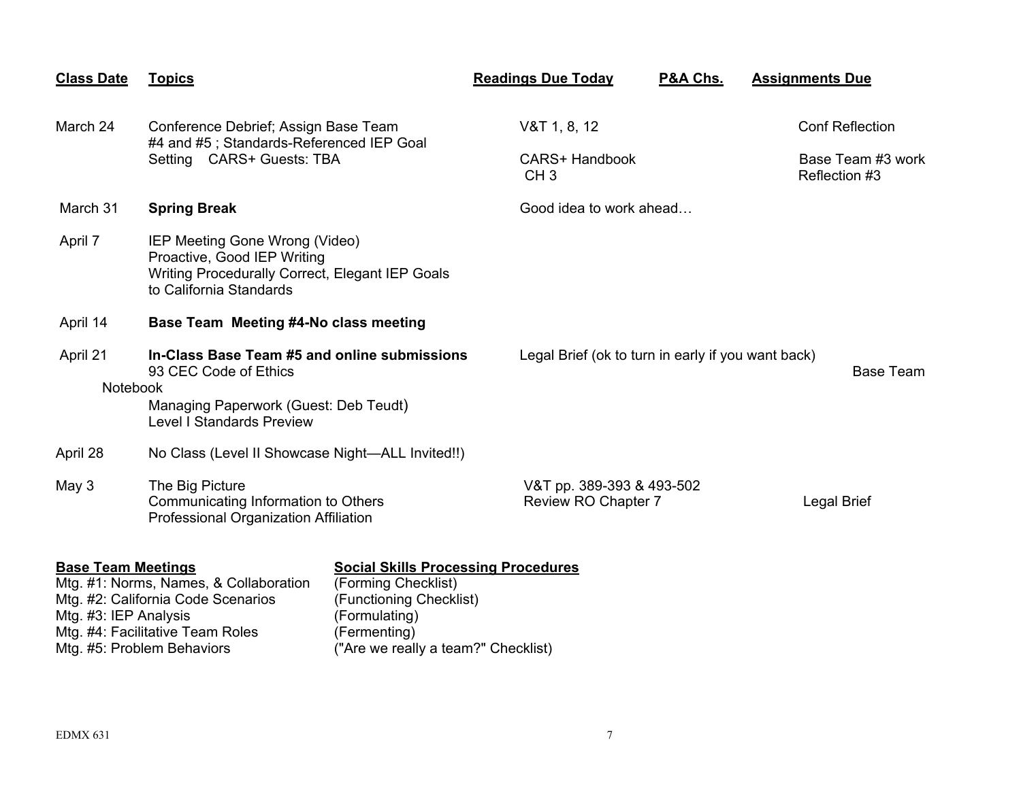| <b>Class Date</b>           | <b>Topics</b>                                                                                                                                      | <b>Readings Due Today</b>                          | P&A Chs.                | <b>Assignments Due</b>             |  |
|-----------------------------|----------------------------------------------------------------------------------------------------------------------------------------------------|----------------------------------------------------|-------------------------|------------------------------------|--|
| March 24                    | Conference Debrief; Assign Base Team<br>#4 and #5; Standards-Referenced IEP Goal                                                                   | $V&T$ 1, 8, 12                                     |                         | <b>Conf Reflection</b>             |  |
|                             | Setting CARS+ Guests: TBA                                                                                                                          | <b>CARS+ Handbook</b><br>CH <sub>3</sub>           |                         | Base Team #3 work<br>Reflection #3 |  |
| March 31                    | <b>Spring Break</b>                                                                                                                                |                                                    | Good idea to work ahead |                                    |  |
| April 7                     | IEP Meeting Gone Wrong (Video)<br>Proactive, Good IEP Writing<br>Writing Procedurally Correct, Elegant IEP Goals<br>to California Standards        |                                                    |                         |                                    |  |
| April 14                    | Base Team Meeting #4-No class meeting                                                                                                              |                                                    |                         |                                    |  |
| April 21<br><b>Notebook</b> | In-Class Base Team #5 and online submissions<br>93 CEC Code of Ethics<br>Managing Paperwork (Guest: Deb Teudt)<br><b>Level I Standards Preview</b> | Legal Brief (ok to turn in early if you want back) |                         | Base Team                          |  |
| April 28                    | No Class (Level II Showcase Night-ALL Invited!!)                                                                                                   |                                                    |                         |                                    |  |
| May 3                       | The Big Picture<br>Communicating Information to Others<br>Professional Organization Affiliation                                                    | V&T pp. 389-393 & 493-502<br>Review RO Chapter 7   |                         | Legal Brief                        |  |

## **Base Team Meetings The Social Skills Processing Procedures**

| Mtg. #1: Norms, Names, & Collaboration | (Forming Checklist)                 |
|----------------------------------------|-------------------------------------|
| Mtg. #2: California Code Scenarios     | (Functioning Checklist)             |
| Mtg. #3: IEP Analysis                  | (Formulating)                       |
| Mtg. #4: Facilitative Team Roles       | (Fermenting)                        |
| Mtg. #5: Problem Behaviors             | ("Are we really a team?" Checklist) |
|                                        |                                     |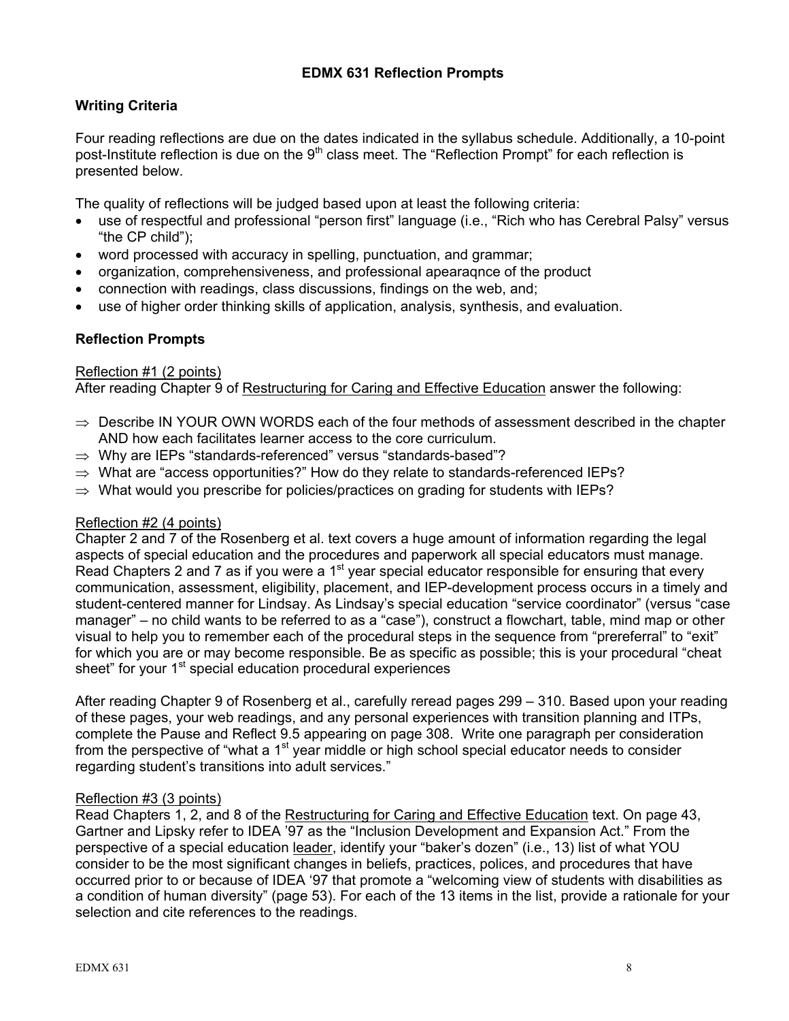## **EDMX 631 Reflection Prompts**

## **Writing Criteria**

Four reading reflections are due on the dates indicated in the syllabus schedule. Additionally, a 10-point post-Institute reflection is due on the  $9<sup>th</sup>$  class meet. The "Reflection Prompt" for each reflection is presented below.

The quality of reflections will be judged based upon at least the following criteria:

- use of respectful and professional "person first" language (i.e., "Rich who has Cerebral Palsy" versus "the CP child");
- word processed with accuracy in spelling, punctuation, and grammar;
- organization, comprehensiveness, and professional apearaqnce of the product
- connection with readings, class discussions, findings on the web, and;
- use of higher order thinking skills of application, analysis, synthesis, and evaluation.

## **Reflection Prompts**

## Reflection #1 (2 points)

After reading Chapter 9 of Restructuring for Caring and Effective Education answer the following:

- $\Rightarrow$  Describe IN YOUR OWN WORDS each of the four methods of assessment described in the chapter AND how each facilitates learner access to the core curriculum.
- ⇒ Why are IEPs "standards-referenced" versus "standards-based"?
- $\Rightarrow$  What are "access opportunities?" How do they relate to standards-referenced IEPs?
- $\Rightarrow$  What would you prescribe for policies/practices on grading for students with IEPs?

## Reflection #2 (4 points)

Chapter 2 and 7 of the Rosenberg et al. text covers a huge amount of information regarding the legal aspects of special education and the procedures and paperwork all special educators must manage. Read Chapters 2 and 7 as if you were a  $1<sup>st</sup>$  year special educator responsible for ensuring that every communication, assessment, eligibility, placement, and IEP-development process occurs in a timely and student-centered manner for Lindsay. As Lindsay's special education "service coordinator" (versus "case manager" – no child wants to be referred to as a "case"), construct a flowchart, table, mind map or other visual to help you to remember each of the procedural steps in the sequence from "prereferral" to "exit" for which you are or may become responsible. Be as specific as possible; this is your procedural "cheat sheet" for your 1<sup>st</sup> special education procedural experiences

After reading Chapter 9 of Rosenberg et al., carefully reread pages 299 – 310. Based upon your reading of these pages, your web readings, and any personal experiences with transition planning and ITPs, complete the Pause and Reflect 9.5 appearing on page 308. Write one paragraph per consideration from the perspective of "what a  $1<sup>st</sup>$  year middle or high school special educator needs to consider regarding student's transitions into adult services."

## Reflection #3 (3 points)

Read Chapters 1, 2, and 8 of the Restructuring for Caring and Effective Education text. On page 43, Gartner and Lipsky refer to IDEA '97 as the "Inclusion Development and Expansion Act." From the perspective of a special education leader, identify your "baker's dozen" (i.e., 13) list of what YOU consider to be the most significant changes in beliefs, practices, polices, and procedures that have occurred prior to or because of IDEA '97 that promote a "welcoming view of students with disabilities as a condition of human diversity" (page 53). For each of the 13 items in the list, provide a rationale for your selection and cite references to the readings.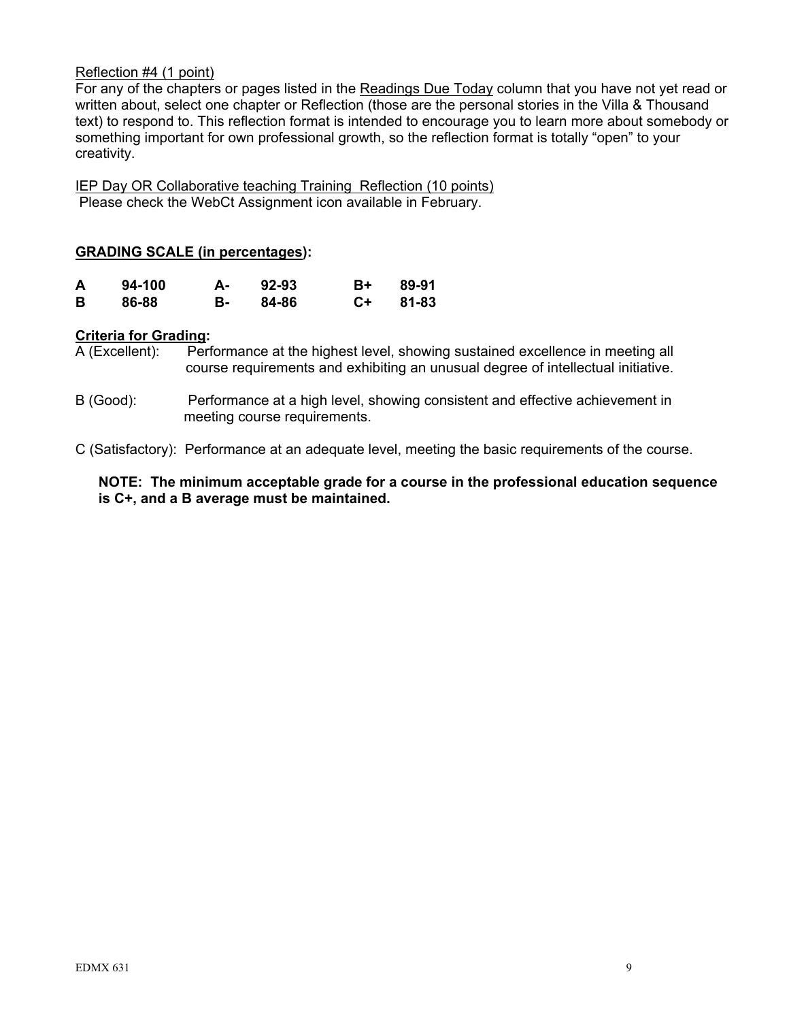## Reflection #4 (1 point)

For any of the chapters or pages listed in the Readings Due Today column that you have not yet read or written about, select one chapter or Reflection (those are the personal stories in the Villa & Thousand text) to respond to. This reflection format is intended to encourage you to learn more about somebody or something important for own professional growth, so the reflection format is totally "open" to your creativity.

IEP Day OR Collaborative teaching Training Reflection (10 points) Please check the WebCt Assignment icon available in February.

## **GRADING SCALE (in percentages):**

| A | 94-100 | А- | 92-93 | B+ .  | 89-91 |
|---|--------|----|-------|-------|-------|
| B | 86-88  | в- | 84-86 | $C++$ | 81-83 |

## **Criteria for Grading:**

A (Excellent): Performance at the highest level, showing sustained excellence in meeting all course requirements and exhibiting an unusual degree of intellectual initiative.

B (Good): Performance at a high level, showing consistent and effective achievement in meeting course requirements.

C (Satisfactory): Performance at an adequate level, meeting the basic requirements of the course.

## **NOTE: The minimum acceptable grade for a course in the professional education sequence is C+, and a B average must be maintained.**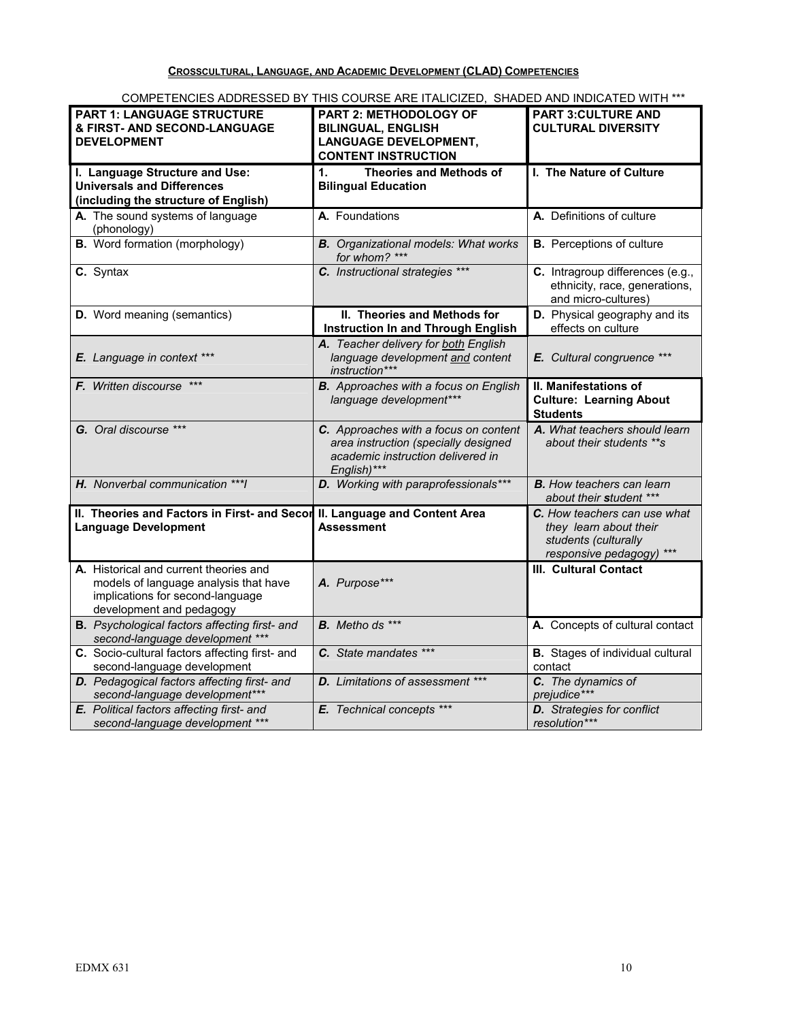**CROSSCULTURAL, LANGUAGE, AND ACADEMIC DEVELOPMENT (CLAD) COMPETENCIES**

| <b>PART 1: LANGUAGE STRUCTURE</b>                    | PART 2: METHODOLOGY OF                                       | <b>PART 3:CULTURE AND</b>               |
|------------------------------------------------------|--------------------------------------------------------------|-----------------------------------------|
| <b>&amp; FIRST- AND SECOND-LANGUAGE</b>              | <b>BILINGUAL, ENGLISH</b>                                    | <b>CULTURAL DIVERSITY</b>               |
| <b>DEVELOPMENT</b>                                   | <b>LANGUAGE DEVELOPMENT,</b>                                 |                                         |
|                                                      | <b>CONTENT INSTRUCTION</b>                                   |                                         |
| I. Language Structure and Use:                       | <b>Theories and Methods of</b><br>1.                         | I. The Nature of Culture                |
| <b>Universals and Differences</b>                    | <b>Bilingual Education</b>                                   |                                         |
|                                                      |                                                              |                                         |
| (including the structure of English)                 |                                                              |                                         |
| A. The sound systems of language<br>(phonology)      | A. Foundations                                               | A. Definitions of culture               |
| <b>B.</b> Word formation (morphology)                | <b>B.</b> Organizational models: What works<br>for whom? *** | <b>B.</b> Perceptions of culture        |
| C. Syntax                                            | C. Instructional strategies ***                              | C. Intragroup differences (e.g.,        |
|                                                      |                                                              | ethnicity, race, generations,           |
|                                                      |                                                              | and micro-cultures)                     |
| D. Word meaning (semantics)                          | II. Theories and Methods for                                 | <b>D.</b> Physical geography and its    |
|                                                      | <b>Instruction In and Through English</b>                    | effects on culture                      |
|                                                      | A. Teacher delivery for both English                         |                                         |
| E. Language in context ***                           | language development and content                             | E. Cultural congruence ***              |
|                                                      | instruction***                                               |                                         |
| <b>F.</b> Written discourse ***                      | <b>B.</b> Approaches with a focus on English                 | II. Manifestations of                   |
|                                                      | language development***                                      | <b>Culture: Learning About</b>          |
|                                                      |                                                              | <b>Students</b>                         |
| G. Oral discourse ***                                | C. Approaches with a focus on content                        | A. What teachers should learn           |
|                                                      | area instruction (specially designed                         | about their students **s                |
|                                                      | academic instruction delivered in                            |                                         |
|                                                      | English)***                                                  |                                         |
| H. Nonverbal communication *** I                     | D. Working with paraprofessionals***                         | <b>B.</b> How teachers can learn        |
|                                                      |                                                              | about their student ***                 |
|                                                      |                                                              |                                         |
| II. Theories and Factors in First- and Secon         | II. Language and Content Area                                | <b>C.</b> How teachers can use what     |
| <b>Language Development</b>                          | <b>Assessment</b>                                            | they learn about their                  |
|                                                      |                                                              | students (culturally                    |
|                                                      |                                                              | responsive pedagogy) ***                |
| A. Historical and current theories and               |                                                              | <b>III. Cultural Contact</b>            |
| models of language analysis that have                | A. Purpose***                                                |                                         |
| implications for second-language                     |                                                              |                                         |
| development and pedagogy                             |                                                              |                                         |
| <b>B.</b> Psychological factors affecting first- and | <b>B.</b> Metho ds ***                                       | A. Concepts of cultural contact         |
| second-language development ***                      |                                                              |                                         |
| C. Socio-cultural factors affecting first- and       | C. State mandates ***                                        | <b>B.</b> Stages of individual cultural |
| second-language development                          |                                                              | contact                                 |
| D. Pedagogical factors affecting first- and          | D. Limitations of assessment ***                             | C. The dynamics of                      |
| second-language development***                       |                                                              | prejudice***                            |
| E. Political factors affecting first- and            | E. Technical concepts ***                                    | <b>D.</b> Strategies for conflict       |
| second-language development ***                      |                                                              | resolution***                           |